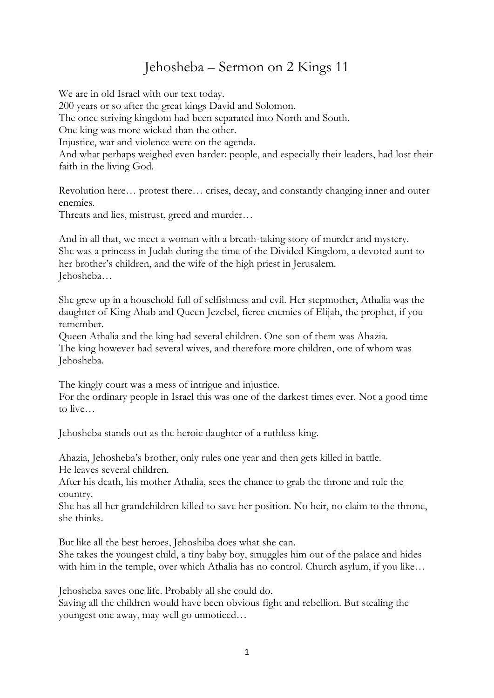## Jehosheba – Sermon on 2 Kings 11

We are in old Israel with our text today. 200 years or so after the great kings David and Solomon. The once striving kingdom had been separated into North and South. One king was more wicked than the other. Injustice, war and violence were on the agenda. And what perhaps weighed even harder: people, and especially their leaders, had lost their faith in the living God. Revolution here… protest there… crises, decay, and constantly changing inner and outer enemies. Threats and lies, mistrust, greed and murder…

And in all that, we meet a woman with a breath-taking story of murder and mystery. She was a princess in Judah during the time of the Divided Kingdom, a devoted aunt to her brother's children, and the wife of the high priest in Jerusalem. Jehosheba…

She grew up in a household full of selfishness and evil. Her stepmother, Athalia was the daughter of King Ahab and Queen Jezebel, fierce enemies of Elijah, the prophet, if you remember.

Queen Athalia and the king had several children. One son of them was Ahazia. The king however had several wives, and therefore more children, one of whom was Jehosheba.

The kingly court was a mess of intrigue and injustice.

For the ordinary people in Israel this was one of the darkest times ever. Not a good time to live…

Jehosheba stands out as the heroic daughter of a ruthless king.

Ahazia, Jehosheba's brother, only rules one year and then gets killed in battle. He leaves several children.

After his death, his mother Athalia, sees the chance to grab the throne and rule the country.

She has all her grandchildren killed to save her position. No heir, no claim to the throne, she thinks.

But like all the best heroes, Jehoshiba does what she can.

She takes the youngest child, a tiny baby boy, smuggles him out of the palace and hides with him in the temple, over which Athalia has no control. Church asylum, if you like…

Jehosheba saves one life. Probably all she could do.

Saving all the children would have been obvious fight and rebellion. But stealing the youngest one away, may well go unnoticed…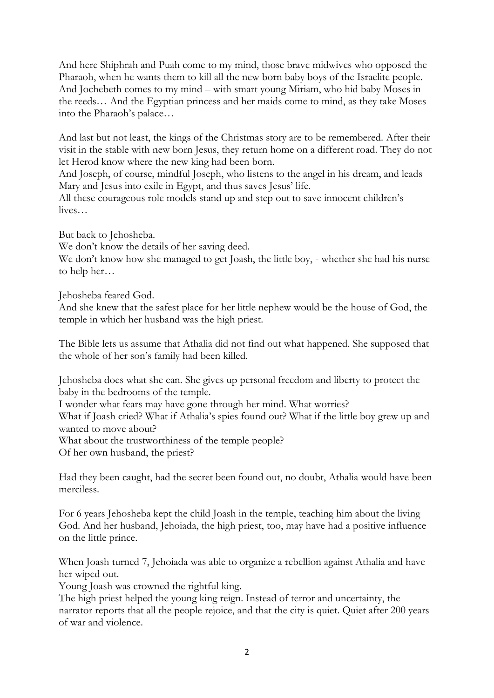And here Shiphrah and Puah come to my mind, those brave midwives who opposed the Pharaoh, when he wants them to kill all the new born baby boys of the Israelite people. And Jochebeth comes to my mind – with smart young Miriam, who hid baby Moses in the reeds… And the Egyptian princess and her maids come to mind, as they take Moses into the Pharaoh's palace…

And last but not least, the kings of the Christmas story are to be remembered. After their visit in the stable with new born Jesus, they return home on a different road. They do not let Herod know where the new king had been born.

And Joseph, of course, mindful Joseph, who listens to the angel in his dream, and leads Mary and Jesus into exile in Egypt, and thus saves Jesus' life.

All these courageous role models stand up and step out to save innocent children's lives…

But back to Jehosheba.

We don't know the details of her saving deed.

We don't know how she managed to get Joash, the little boy, - whether she had his nurse to help her…

Jehosheba feared God.

And she knew that the safest place for her little nephew would be the house of God, the temple in which her husband was the high priest.

The Bible lets us assume that Athalia did not find out what happened. She supposed that the whole of her son's family had been killed.

Jehosheba does what she can. She gives up personal freedom and liberty to protect the baby in the bedrooms of the temple.

I wonder what fears may have gone through her mind. What worries?

What if Joash cried? What if Athalia's spies found out? What if the little boy grew up and wanted to move about?

What about the trustworthiness of the temple people?

Of her own husband, the priest?

Had they been caught, had the secret been found out, no doubt, Athalia would have been merciless.

For 6 years Jehosheba kept the child Joash in the temple, teaching him about the living God. And her husband, Jehoiada, the high priest, too, may have had a positive influence on the little prince.

When Joash turned 7, Jehoiada was able to organize a rebellion against Athalia and have her wiped out.

Young Joash was crowned the rightful king.

The high priest helped the young king reign. Instead of terror and uncertainty, the narrator reports that all the people rejoice, and that the city is quiet. Quiet after 200 years of war and violence.